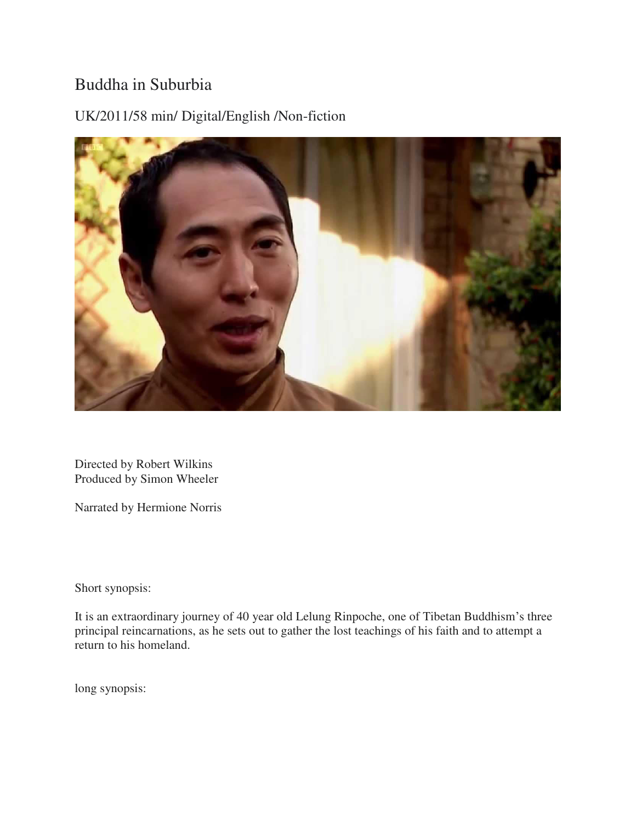## Buddha in Suburbia

UK/2011/58 min/ Digital/English /Non-fiction



Directed by Robert Wilkins Produced by Simon Wheeler

Narrated by Hermione Norris

Short synopsis:

It is an extraordinary journey of 40 year old Lelung Rinpoche, one of Tibetan Buddhism's three principal reincarnations, as he sets out to gather the lost teachings of his faith and to attempt a return to his homeland.

long synopsis: